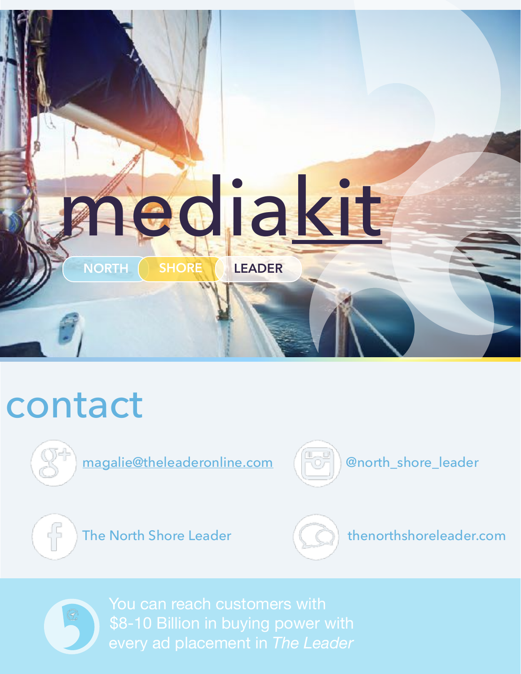

# contact



[magalie@theleaderonline.com](mailto:magalie@theleaderonline.com)



@north\_shore\_leader





thenorthshoreleader.com



You can reach customers with \$8-10 Billion in buying power with every ad placement in *The Leader*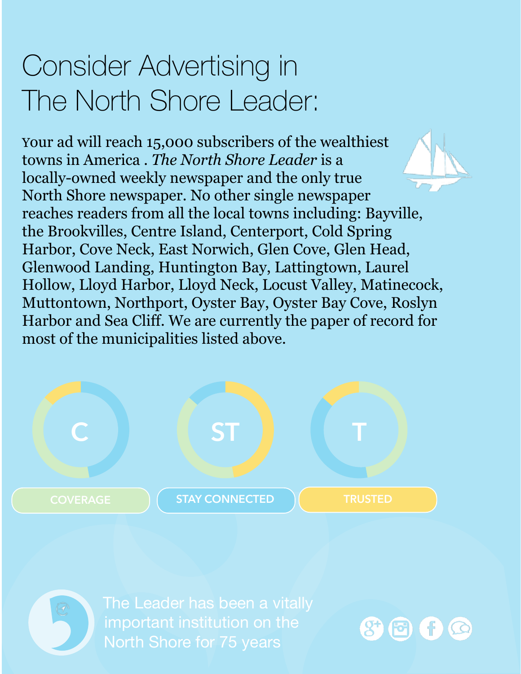### Consider Advertising in The North Shore Leader:

Your ad will reach 15,000 subscribers of the wealthiest towns in America . *The North Shore Leader* is a locally-owned weekly newspaper and the only true North Shore newspaper. No other single newspaper reaches readers from all the local towns including: Bayville, the Brookvilles, Centre Island, Centerport, Cold Spring Harbor, Cove Neck, East Norwich, Glen Cove, Glen Head, Glenwood Landing, Huntington Bay, Lattingtown, Laurel Hollow, Lloyd Harbor, Lloyd Neck, Locust Valley, Matinecock, Muttontown, Northport, Oyster Bay, Oyster Bay Cove, Roslyn Harbor and Sea Cliff. We are currently the paper of record for most of the municipalities listed above.



important institution on the North Shore for 75 years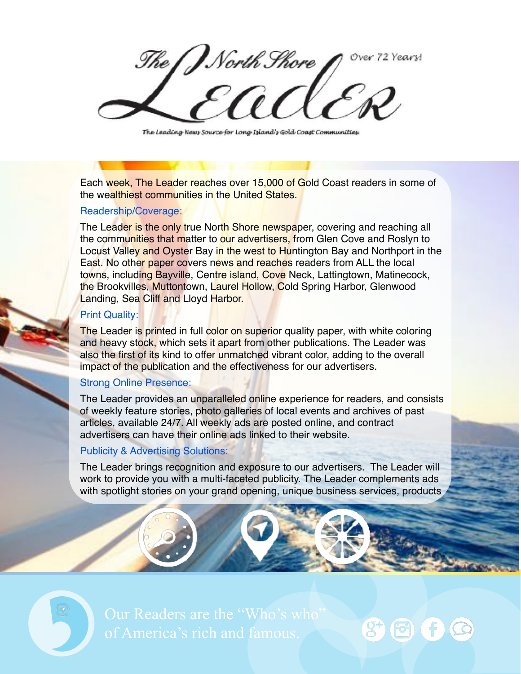The North Shore Over 72 Years!

The Leading Newy Source for Long Island's Gold Coast Communities:

Each week, The Leader reaches over 15,000 of Gold Coast readers in some of the wealthiest communities in the United States.

#### Readership/Coverage:

The Leader is the only true North Shore newspaper, covering and reaching all the communities that matter to our advertisers, from Glen Cove and Roslyn to Locust Valley and Oyster Bay in the west to Huntington Bay and Northport in the East. No other paper covers news and reaches readers from ALL the local towns, including Bayville, Centre island, Cove Neck, Lattingtown, Matinecock, the Brookvilles, Muttontown, Laurel Hollow, Cold Spring Harbor, Glenwood Landing, Sea Cliff and Lloyd Harbor.

#### Print Quality:

The Leader is printed in full color on superior quality paper, with white coloring and heavy stock, which sets it apart from other publications. The Leader was also the first of its kind to offer unmatched vibrant color, adding to the overall impact of the publication and the effectiveness for our advertisers.

#### Strong Online Presence:

The Leader provides an unparalleled online experience for readers, and consists of weekly feature stories, photo galleries of local events and archives of past articles, available 24/7. All weekly ads are posted online, and contract advertisers can have their online ads linked to their website.

#### Publicity & Advertising Solutions:

The Leader brings recognition and exposure to our advertisers. The Leader will work to provide you with a multi-faceted publicity. The Leader complements ads with spotlight stories on your grand opening, unique business services, products

of America's rich and famous.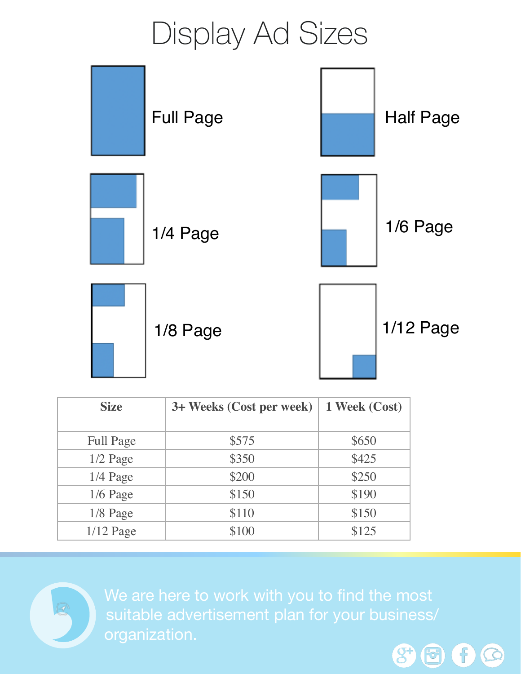## Display Ad Sizes



| <b>Size</b>      | 3+ Weeks (Cost per week) | 1 Week (Cost) |
|------------------|--------------------------|---------------|
| <b>Full Page</b> | \$575                    | \$650         |
| $1/2$ Page       | \$350                    | \$425         |
| $1/4$ Page       | \$200                    | \$250         |
| $1/6$ Page       | \$150                    | \$190         |
| $1/8$ Page       | \$110                    | \$150         |
| $1/12$ Page      | \$100                    | \$125         |



suitable advertisement plan for your business/ organization.